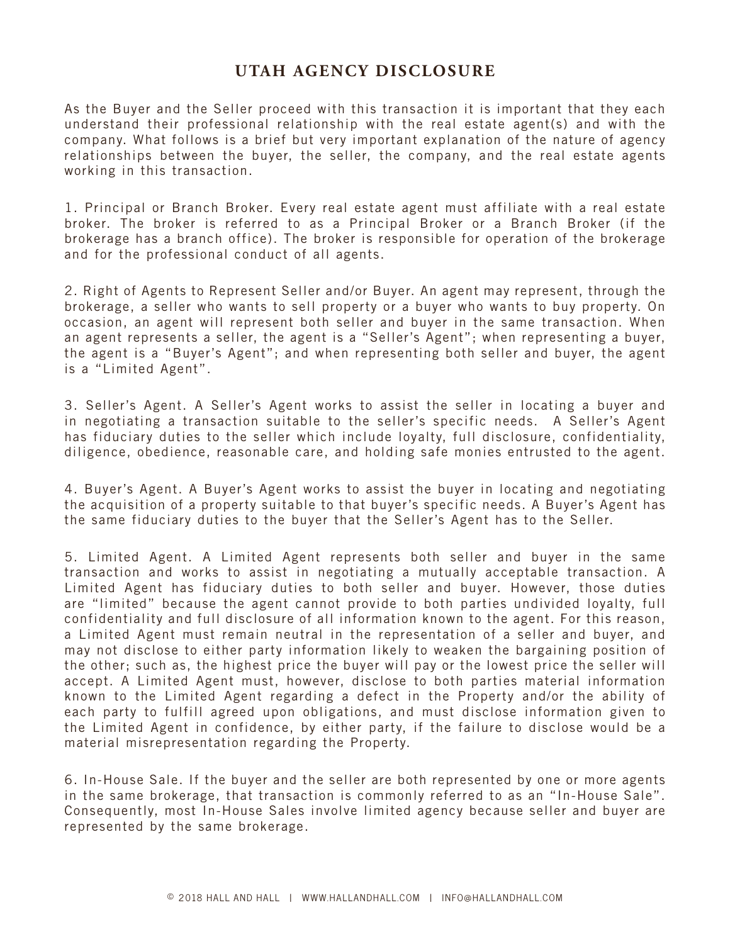## **UTAH AGENCY DISCLOSURE**

As the Buyer and the Seller proceed with this transaction it is important that they each understand their professional relationship with the real estate agent(s) and with the company. What follows is a brief but very important explanation of the nature of agency relationships between the buyer, the seller, the company, and the real estate agents working in this transaction.

1. Principal or Branch Broker. Every real estate agent must affiliate with a real estate broker. The broker is referred to as a Principal Broker or a Branch Broker (if the brokerage has a branch office). The broker is responsible for operation of the brokerage and for the professional conduct of all agents.

2. Right of Agents to Represent Seller and/or Buyer. An agent may represent, through the brokerage, a seller who wants to sell property or a buyer who wants to buy property. On occasion, an agent will represent both seller and buyer in the same transaction. When an agent represents a seller, the agent is a "Seller's Agent"; when representing a buyer, the agent is a "Buyer's Agent"; and when representing both seller and buyer, the agent is a "Limited Agent".

3. Seller's Agent. A Seller's Agent works to assist the seller in locating a buyer and in negotiating a transaction suitable to the seller's specific needs. A Seller's Agent has fiduciary duties to the seller which include loyalty, full disclosure, confidentiality, diligence, obedience, reasonable care, and holding safe monies entrusted to the agent.

4. Buyer's Agent. A Buyer's Agent works to assist the buyer in locating and negotiating the acquisition of a property suitable to that buyer's specific needs. A Buyer's Agent has the same fiduciary duties to the buyer that the Seller's Agent has to the Seller.

5. Limited Agent. A Limited Agent represents both seller and buyer in the same transaction and works to assist in negotiating a mutually acceptable transaction. A Limited Agent has fiduciary duties to both seller and buyer. However, those duties are "limited" because the agent cannot provide to both parties undivided loyalty, full confidentiality and full disclosure of all information known to the agent. For this reason, a Limited Agent must remain neutral in the representation of a seller and buyer, and may not disclose to either party information likely to weaken the bargaining position of the other; such as, the highest price the buyer will pay or the lowest price the seller will accept. A Limited Agent must, however, disclose to both parties material information known to the Limited Agent regarding a defect in the Property and/or the ability of each party to fulfill agreed upon obligations, and must disclose information given to the Limited Agent in confidence, by either party, if the failure to disclose would be a material misrepresentation regarding the Property.

6. In-House Sale. If the buyer and the seller are both represented by one or more agents in the same brokerage, that transaction is commonly referred to as an "In-House Sale". Consequently, most In-House Sales involve limited agency because seller and buyer are represented by the same brokerage.